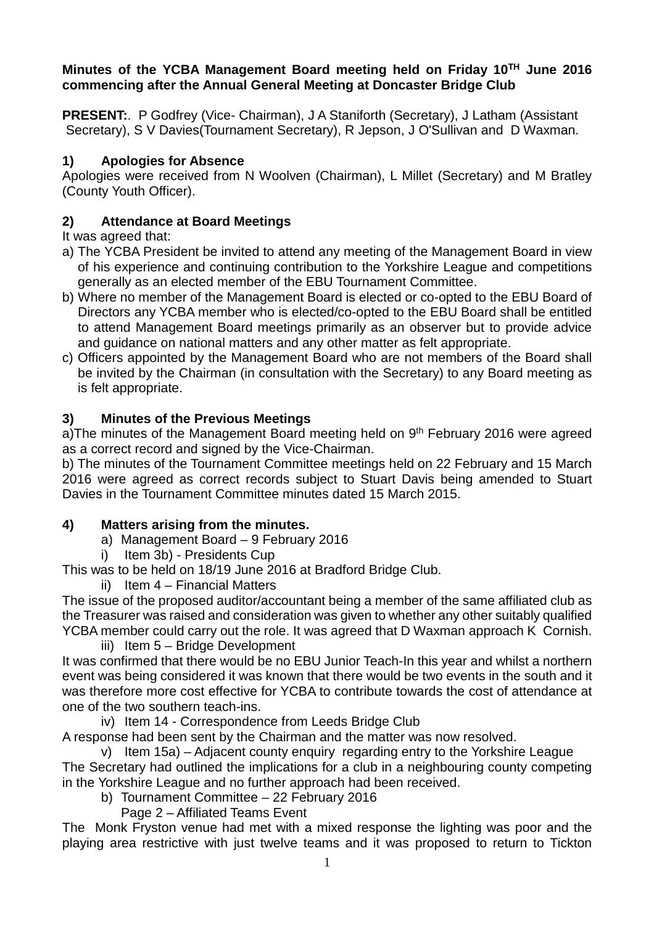#### **Minutes of the YCBA Management Board meeting held on Friday 10TH June 2016 commencing after the Annual General Meeting at Doncaster Bridge Club**

**PRESENT:**. P Godfrey (Vice- Chairman), J A Staniforth (Secretary), J Latham (Assistant Secretary), S V Davies(Tournament Secretary), R Jepson, J O'Sullivan and D Waxman.

## **1) Apologies for Absence**

Apologies were received from N Woolven (Chairman), L Millet (Secretary) and M Bratley (County Youth Officer).

# **2) Attendance at Board Meetings**

It was agreed that:

- a) The YCBA President be invited to attend any meeting of the Management Board in view of his experience and continuing contribution to the Yorkshire League and competitions generally as an elected member of the EBU Tournament Committee.
- b) Where no member of the Management Board is elected or co-opted to the EBU Board of Directors any YCBA member who is elected/co-opted to the EBU Board shall be entitled to attend Management Board meetings primarily as an observer but to provide advice and guidance on national matters and any other matter as felt appropriate.
- c) Officers appointed by the Management Board who are not members of the Board shall be invited by the Chairman (in consultation with the Secretary) to any Board meeting as is felt appropriate.

# **3) Minutes of the Previous Meetings**

a)The minutes of the Management Board meeting held on  $9<sup>th</sup>$  February 2016 were agreed as a correct record and signed by the Vice-Chairman.

b) The minutes of the Tournament Committee meetings held on 22 February and 15 March 2016 were agreed as correct records subject to Stuart Davis being amended to Stuart Davies in the Tournament Committee minutes dated 15 March 2015.

#### **4) Matters arising from the minutes.**

- a) Management Board 9 February 2016
- i) Item 3b) Presidents Cup

This was to be held on 18/19 June 2016 at Bradford Bridge Club.

ii) Item 4 – Financial Matters

The issue of the proposed auditor/accountant being a member of the same affiliated club as the Treasurer was raised and consideration was given to whether any other suitably qualified YCBA member could carry out the role. It was agreed that D Waxman approach K Cornish.

iii) Item 5 – Bridge Development

It was confirmed that there would be no EBU Junior Teach-In this year and whilst a northern event was being considered it was known that there would be two events in the south and it was therefore more cost effective for YCBA to contribute towards the cost of attendance at one of the two southern teach-ins.

iv) Item 14 - Correspondence from Leeds Bridge Club

A response had been sent by the Chairman and the matter was now resolved.

v) Item 15a) – Adjacent county enquiry regarding entry to the Yorkshire League The Secretary had outlined the implications for a club in a neighbouring county competing in the Yorkshire League and no further approach had been received.

b) Tournament Committee – 22 February 2016

Page 2 – Affiliated Teams Event

The Monk Fryston venue had met with a mixed response the lighting was poor and the playing area restrictive with just twelve teams and it was proposed to return to Tickton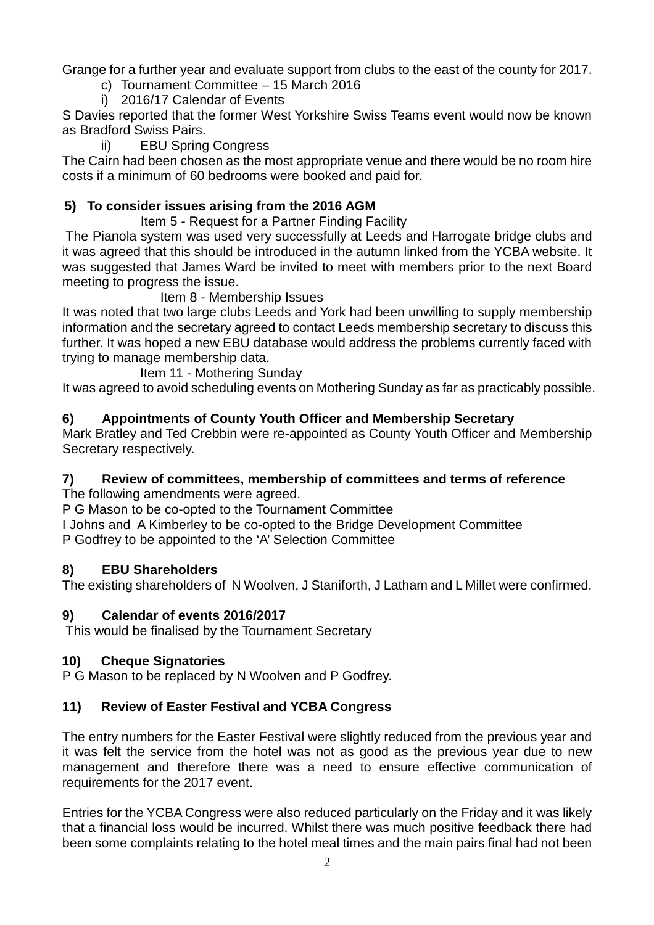Grange for a further year and evaluate support from clubs to the east of the county for 2017.

c) Tournament Committee – 15 March 2016

i) 2016/17 Calendar of Events

S Davies reported that the former West Yorkshire Swiss Teams event would now be known as Bradford Swiss Pairs.

ii) EBU Spring Congress

The Cairn had been chosen as the most appropriate venue and there would be no room hire costs if a minimum of 60 bedrooms were booked and paid for.

## **5) To consider issues arising from the 2016 AGM**

Item 5 - Request for a Partner Finding Facility

 The Pianola system was used very successfully at Leeds and Harrogate bridge clubs and it was agreed that this should be introduced in the autumn linked from the YCBA website. It was suggested that James Ward be invited to meet with members prior to the next Board meeting to progress the issue.

Item 8 - Membership Issues

It was noted that two large clubs Leeds and York had been unwilling to supply membership information and the secretary agreed to contact Leeds membership secretary to discuss this further. It was hoped a new EBU database would address the problems currently faced with trying to manage membership data.

Item 11 - Mothering Sunday

It was agreed to avoid scheduling events on Mothering Sunday as far as practicably possible.

#### **6) Appointments of County Youth Officer and Membership Secretary**

Mark Bratley and Ted Crebbin were re-appointed as County Youth Officer and Membership Secretary respectively.

#### **7) Review of committees, membership of committees and terms of reference**

The following amendments were agreed.

P G Mason to be co-opted to the Tournament Committee

I Johns and A Kimberley to be co-opted to the Bridge Development Committee P Godfrey to be appointed to the 'A' Selection Committee

#### **8) EBU Shareholders**

The existing shareholders of N Woolven, J Staniforth, J Latham and L Millet were confirmed.

#### **9) Calendar of events 2016/2017**

This would be finalised by the Tournament Secretary

#### **10) Cheque Signatories**

P G Mason to be replaced by N Woolven and P Godfrey.

# **11) Review of Easter Festival and YCBA Congress**

The entry numbers for the Easter Festival were slightly reduced from the previous year and it was felt the service from the hotel was not as good as the previous year due to new management and therefore there was a need to ensure effective communication of requirements for the 2017 event.

Entries for the YCBA Congress were also reduced particularly on the Friday and it was likely that a financial loss would be incurred. Whilst there was much positive feedback there had been some complaints relating to the hotel meal times and the main pairs final had not been